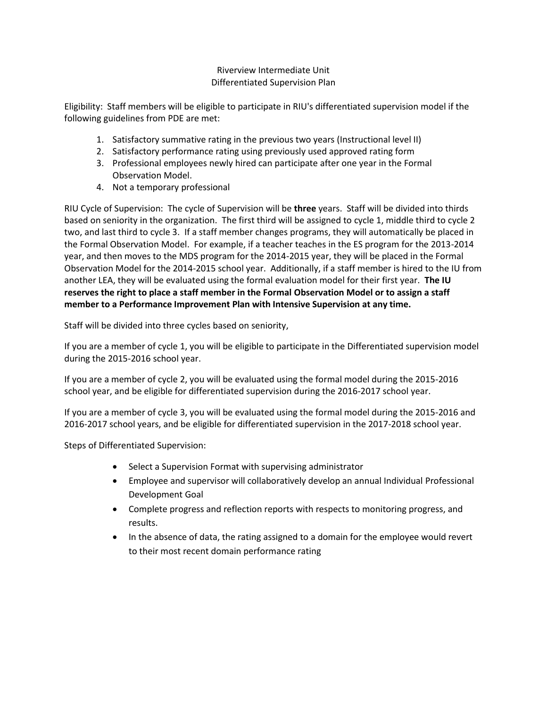# Riverview Intermediate Unit Differentiated Supervision Plan

Eligibility: Staff members will be eligible to participate in RIU's differentiated supervision model if the following guidelines from PDE are met:

- 1. Satisfactory summative rating in the previous two years (Instructional level II)
- 2. Satisfactory performance rating using previously used approved rating form
- 3. Professional employees newly hired can participate after one year in the Formal Observation Model.
- 4. Not a temporary professional

RIU Cycle of Supervision: The cycle of Supervision will be **three** years. Staff will be divided into thirds based on seniority in the organization. The first third will be assigned to cycle 1, middle third to cycle 2 two, and last third to cycle 3. If a staff member changes programs, they will automatically be placed in the Formal Observation Model. For example, if a teacher teaches in the ES program for the 2013-2014 year, and then moves to the MDS program for the 2014-2015 year, they will be placed in the Formal Observation Model for the 2014-2015 school year. Additionally, if a staff member is hired to the IU from another LEA, they will be evaluated using the formal evaluation model for their first year. **The IU reserves the right to place a staff member in the Formal Observation Model or to assign a staff member to a Performance Improvement Plan with Intensive Supervision at any time.**

Staff will be divided into three cycles based on seniority,

If you are a member of cycle 1, you will be eligible to participate in the Differentiated supervision model during the 2015-2016 school year.

If you are a member of cycle 2, you will be evaluated using the formal model during the 2015-2016 school year, and be eligible for differentiated supervision during the 2016-2017 school year.

If you are a member of cycle 3, you will be evaluated using the formal model during the 2015-2016 and 2016-2017 school years, and be eligible for differentiated supervision in the 2017-2018 school year.

Steps of Differentiated Supervision:

- Select a Supervision Format with supervising administrator
- Employee and supervisor will collaboratively develop an annual Individual Professional Development Goal
- Complete progress and reflection reports with respects to monitoring progress, and results.
- In the absence of data, the rating assigned to a domain for the employee would revert to their most recent domain performance rating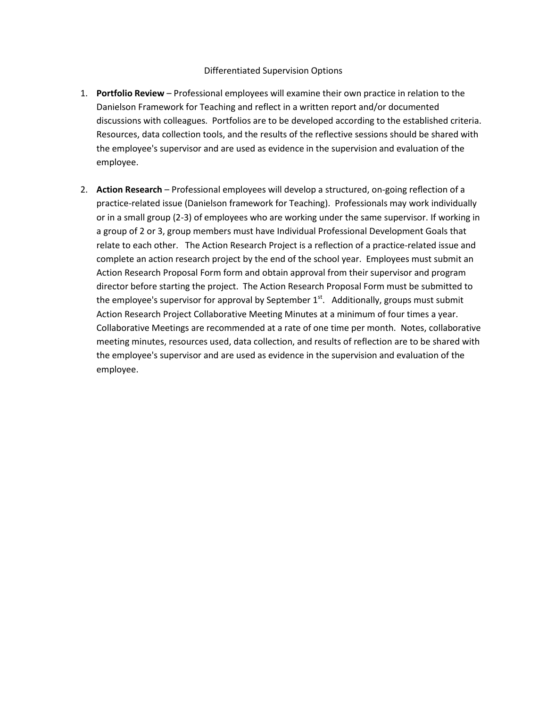#### Differentiated Supervision Options

- 1. **Portfolio Review** Professional employees will examine their own practice in relation to the Danielson Framework for Teaching and reflect in a written report and/or documented discussions with colleagues. Portfolios are to be developed according to the established criteria. Resources, data collection tools, and the results of the reflective sessions should be shared with the employee's supervisor and are used as evidence in the supervision and evaluation of the employee.
- 2. **Action Research** Professional employees will develop a structured, on-going reflection of a practice-related issue (Danielson framework for Teaching). Professionals may work individually or in a small group (2-3) of employees who are working under the same supervisor. If working in a group of 2 or 3, group members must have Individual Professional Development Goals that relate to each other. The Action Research Project is a reflection of a practice-related issue and complete an action research project by the end of the school year. Employees must submit an Action Research Proposal Form form and obtain approval from their supervisor and program director before starting the project. The Action Research Proposal Form must be submitted to the employee's supervisor for approval by September  $1<sup>st</sup>$ . Additionally, groups must submit Action Research Project Collaborative Meeting Minutes at a minimum of four times a year. Collaborative Meetings are recommended at a rate of one time per month. Notes, collaborative meeting minutes, resources used, data collection, and results of reflection are to be shared with the employee's supervisor and are used as evidence in the supervision and evaluation of the employee.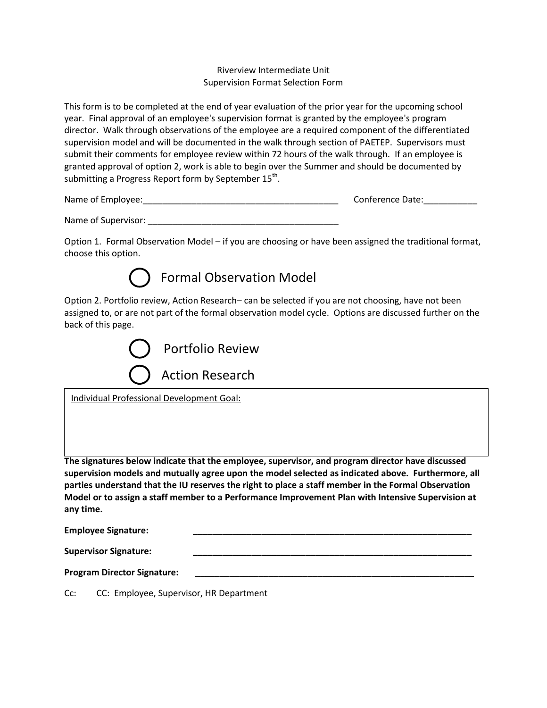### Riverview Intermediate Unit Supervision Format Selection Form

This form is to be completed at the end of year evaluation of the prior year for the upcoming school year. Final approval of an employee's supervision format is granted by the employee's program director. Walk through observations of the employee are a required component of the differentiated supervision model and will be documented in the walk through section of PAETEP. Supervisors must submit their comments for employee review within 72 hours of the walk through. If an employee is granted approval of option 2, work is able to begin over the Summer and should be documented by submitting a Progress Report form by September  $15^{\text{th}}$ .

| Name of Employee: | Conference Date: |
|-------------------|------------------|
|-------------------|------------------|

Name of Supervisor: \_\_\_\_\_\_\_\_\_\_\_\_\_\_\_\_\_\_\_\_\_\_\_\_\_\_\_\_\_\_\_\_\_\_\_\_\_\_\_

Option 1. Formal Observation Model – if you are choosing or have been assigned the traditional format, choose this option.



Option 2. Portfolio review, Action Research– can be selected if you are not choosing, have not been assigned to, or are not part of the formal observation model cycle. Options are discussed further on the back of this page.



Individual Professional Development Goal:

**The signatures below indicate that the employee, supervisor, and program director have discussed supervision models and mutually agree upon the model selected as indicated above. Furthermore, all parties understand that the IU reserves the right to place a staff member in the Formal Observation Model or to assign a staff member to a Performance Improvement Plan with Intensive Supervision at any time.** 

**Employee Signature: \_\_\_\_\_\_\_\_\_\_\_\_\_\_\_\_\_\_\_\_\_\_\_\_\_\_\_\_\_\_\_\_\_\_\_\_\_\_\_\_\_\_\_\_\_\_\_\_\_\_\_\_\_\_\_\_\_**

**Supervisor Signature: \_\_\_\_\_\_\_\_\_\_\_\_\_\_\_\_\_\_\_\_\_\_\_\_\_\_\_\_\_\_\_\_\_\_\_\_\_\_\_\_\_\_\_\_\_\_\_\_\_\_\_\_\_\_\_\_\_**

**Program Director Signature: \_\_\_\_\_\_\_\_\_\_\_\_\_\_\_\_\_\_\_\_\_\_\_\_\_\_\_\_\_\_\_\_\_\_\_\_\_\_\_\_\_\_\_\_\_\_\_\_\_\_\_\_\_\_\_\_\_**

Cc: CC: Employee, Supervisor, HR Department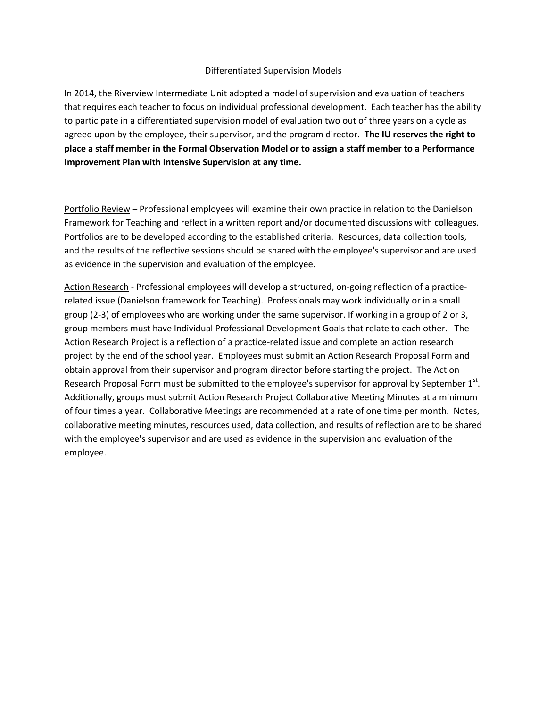#### Differentiated Supervision Models

In 2014, the Riverview Intermediate Unit adopted a model of supervision and evaluation of teachers that requires each teacher to focus on individual professional development. Each teacher has the ability to participate in a differentiated supervision model of evaluation two out of three years on a cycle as agreed upon by the employee, their supervisor, and the program director. **The IU reserves the right to place a staff member in the Formal Observation Model or to assign a staff member to a Performance Improvement Plan with Intensive Supervision at any time.**

Portfolio Review – Professional employees will examine their own practice in relation to the Danielson Framework for Teaching and reflect in a written report and/or documented discussions with colleagues. Portfolios are to be developed according to the established criteria. Resources, data collection tools, and the results of the reflective sessions should be shared with the employee's supervisor and are used as evidence in the supervision and evaluation of the employee.

Action Research - Professional employees will develop a structured, on-going reflection of a practicerelated issue (Danielson framework for Teaching). Professionals may work individually or in a small group (2-3) of employees who are working under the same supervisor. If working in a group of 2 or 3, group members must have Individual Professional Development Goals that relate to each other. The Action Research Project is a reflection of a practice-related issue and complete an action research project by the end of the school year. Employees must submit an Action Research Proposal Form and obtain approval from their supervisor and program director before starting the project. The Action Research Proposal Form must be submitted to the employee's supervisor for approval by September  $1^{st}$ . Additionally, groups must submit Action Research Project Collaborative Meeting Minutes at a minimum of four times a year. Collaborative Meetings are recommended at a rate of one time per month. Notes, collaborative meeting minutes, resources used, data collection, and results of reflection are to be shared with the employee's supervisor and are used as evidence in the supervision and evaluation of the employee.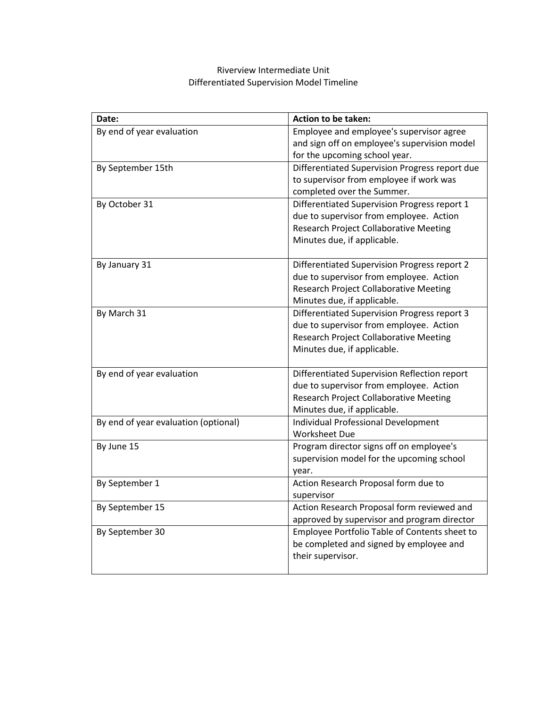# Riverview Intermediate Unit Differentiated Supervision Model Timeline

| Date:                                | Action to be taken:                                 |
|--------------------------------------|-----------------------------------------------------|
| By end of year evaluation            | Employee and employee's supervisor agree            |
|                                      | and sign off on employee's supervision model        |
|                                      | for the upcoming school year.                       |
| By September 15th                    | Differentiated Supervision Progress report due      |
|                                      | to supervisor from employee if work was             |
|                                      | completed over the Summer.                          |
| By October 31                        | Differentiated Supervision Progress report 1        |
|                                      | due to supervisor from employee. Action             |
|                                      | <b>Research Project Collaborative Meeting</b>       |
|                                      | Minutes due, if applicable.                         |
| By January 31                        | Differentiated Supervision Progress report 2        |
|                                      | due to supervisor from employee. Action             |
|                                      | <b>Research Project Collaborative Meeting</b>       |
|                                      | Minutes due, if applicable.                         |
| By March 31                          | <b>Differentiated Supervision Progress report 3</b> |
|                                      | due to supervisor from employee. Action             |
|                                      | <b>Research Project Collaborative Meeting</b>       |
|                                      | Minutes due, if applicable.                         |
| By end of year evaluation            | Differentiated Supervision Reflection report        |
|                                      | due to supervisor from employee. Action             |
|                                      | <b>Research Project Collaborative Meeting</b>       |
|                                      | Minutes due, if applicable.                         |
| By end of year evaluation (optional) | <b>Individual Professional Development</b>          |
|                                      | <b>Worksheet Due</b>                                |
| By June 15                           | Program director signs off on employee's            |
|                                      | supervision model for the upcoming school           |
|                                      | year.                                               |
| By September 1                       | Action Research Proposal form due to                |
|                                      | supervisor                                          |
| By September 15                      | Action Research Proposal form reviewed and          |
|                                      | approved by supervisor and program director         |
| By September 30                      | Employee Portfolio Table of Contents sheet to       |
|                                      | be completed and signed by employee and             |
|                                      | their supervisor.                                   |
|                                      |                                                     |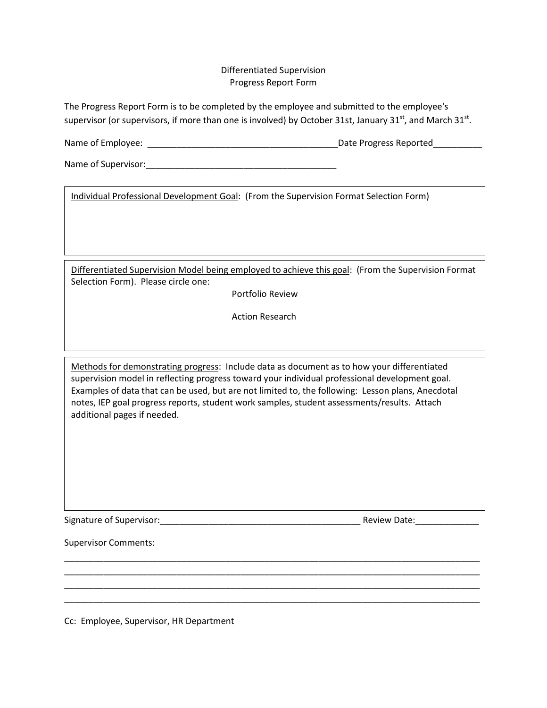#### Differentiated Supervision Progress Report Form

The Progress Report Form is to be completed by the employee and submitted to the employee's supervisor (or supervisors, if more than one is involved) by October 31st, January 31<sup>st</sup>, and March 31<sup>st</sup>.

Name of Employee: \_\_\_\_\_\_\_\_\_\_\_\_\_\_\_\_\_\_\_\_\_\_\_\_\_\_\_\_\_\_\_\_\_\_\_\_\_\_\_Date Progress Reported\_\_\_\_\_\_\_\_\_\_

Name of Supervisor:\_\_\_\_\_\_\_\_\_\_\_\_\_\_\_\_\_\_\_\_\_\_\_\_\_\_\_\_\_\_\_\_\_\_\_\_\_\_\_

Individual Professional Development Goal: (From the Supervision Format Selection Form)

Differentiated Supervision Model being employed to achieve this goal: (From the Supervision Format Selection Form). Please circle one:

Portfolio Review

Action Research

Methods for demonstrating progress: Include data as document as to how your differentiated supervision model in reflecting progress toward your individual professional development goal. Examples of data that can be used, but are not limited to, the following: Lesson plans, Anecdotal notes, IEP goal progress reports, student work samples, student assessments/results. Attach additional pages if needed.

\_\_\_\_\_\_\_\_\_\_\_\_\_\_\_\_\_\_\_\_\_\_\_\_\_\_\_\_\_\_\_\_\_\_\_\_\_\_\_\_\_\_\_\_\_\_\_\_\_\_\_\_\_\_\_\_\_\_\_\_\_\_\_\_\_\_\_\_\_\_\_\_\_\_\_\_\_\_\_\_\_\_\_\_\_ \_\_\_\_\_\_\_\_\_\_\_\_\_\_\_\_\_\_\_\_\_\_\_\_\_\_\_\_\_\_\_\_\_\_\_\_\_\_\_\_\_\_\_\_\_\_\_\_\_\_\_\_\_\_\_\_\_\_\_\_\_\_\_\_\_\_\_\_\_\_\_\_\_\_\_\_\_\_\_\_\_\_\_\_\_ \_\_\_\_\_\_\_\_\_\_\_\_\_\_\_\_\_\_\_\_\_\_\_\_\_\_\_\_\_\_\_\_\_\_\_\_\_\_\_\_\_\_\_\_\_\_\_\_\_\_\_\_\_\_\_\_\_\_\_\_\_\_\_\_\_\_\_\_\_\_\_\_\_\_\_\_\_\_\_\_\_\_\_\_\_ \_\_\_\_\_\_\_\_\_\_\_\_\_\_\_\_\_\_\_\_\_\_\_\_\_\_\_\_\_\_\_\_\_\_\_\_\_\_\_\_\_\_\_\_\_\_\_\_\_\_\_\_\_\_\_\_\_\_\_\_\_\_\_\_\_\_\_\_\_\_\_\_\_\_\_\_\_\_\_\_\_\_\_\_\_

Signature of Supervisor:\_\_\_\_\_\_\_\_\_\_\_\_\_\_\_\_\_\_\_\_\_\_\_\_\_\_\_\_\_\_\_\_\_\_\_\_\_\_\_\_\_ Review Date:\_\_\_\_\_\_\_\_\_\_\_\_\_

Supervisor Comments:

Cc: Employee, Supervisor, HR Department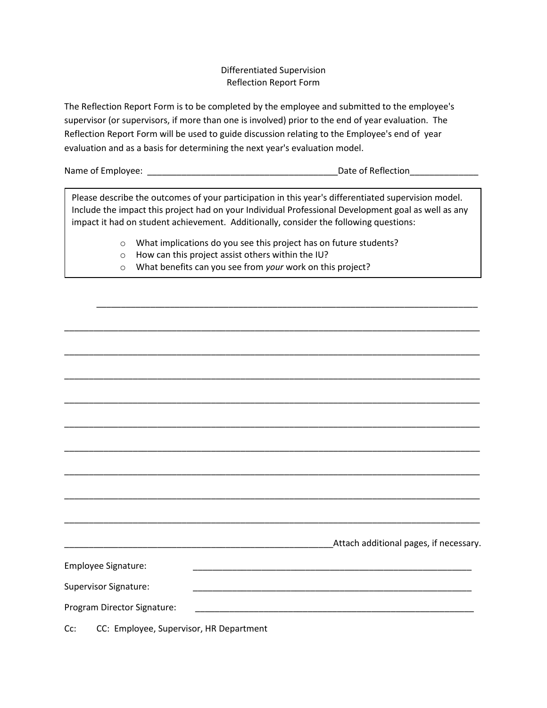## Differentiated Supervision Reflection Report Form

The Reflection Report Form is to be completed by the employee and submitted to the employee's supervisor (or supervisors, if more than one is involved) prior to the end of year evaluation. The Reflection Report Form will be used to guide discussion relating to the Employee's end of year evaluation and as a basis for determining the next year's evaluation model.

| Name of Employee: | Date of Reflection |
|-------------------|--------------------|
|                   |                    |

Please describe the outcomes of your participation in this year's differentiated supervision model. Include the impact this project had on your Individual Professional Development goal as well as any impact it had on student achievement. Additionally, consider the following questions:

\_\_\_\_\_\_\_\_\_\_\_\_\_\_\_\_\_\_\_\_\_\_\_\_\_\_\_\_\_\_\_\_\_\_\_\_\_\_\_\_\_\_\_\_\_\_\_\_\_\_\_\_\_\_\_\_\_\_\_\_\_\_\_\_\_\_\_\_\_\_\_\_\_\_\_\_\_\_

\_\_\_\_\_\_\_\_\_\_\_\_\_\_\_\_\_\_\_\_\_\_\_\_\_\_\_\_\_\_\_\_\_\_\_\_\_\_\_\_\_\_\_\_\_\_\_\_\_\_\_\_\_\_\_\_\_\_\_\_\_\_\_\_\_\_\_\_\_\_\_\_\_\_\_\_\_\_\_\_\_\_\_\_\_

\_\_\_\_\_\_\_\_\_\_\_\_\_\_\_\_\_\_\_\_\_\_\_\_\_\_\_\_\_\_\_\_\_\_\_\_\_\_\_\_\_\_\_\_\_\_\_\_\_\_\_\_\_\_\_\_\_\_\_\_\_\_\_\_\_\_\_\_\_\_\_\_\_\_\_\_\_\_\_\_\_\_\_\_\_

\_\_\_\_\_\_\_\_\_\_\_\_\_\_\_\_\_\_\_\_\_\_\_\_\_\_\_\_\_\_\_\_\_\_\_\_\_\_\_\_\_\_\_\_\_\_\_\_\_\_\_\_\_\_\_\_\_\_\_\_\_\_\_\_\_\_\_\_\_\_\_\_\_\_\_\_\_\_\_\_\_\_\_\_\_

\_\_\_\_\_\_\_\_\_\_\_\_\_\_\_\_\_\_\_\_\_\_\_\_\_\_\_\_\_\_\_\_\_\_\_\_\_\_\_\_\_\_\_\_\_\_\_\_\_\_\_\_\_\_\_\_\_\_\_\_\_\_\_\_\_\_\_\_\_\_\_\_\_\_\_\_\_\_\_\_\_\_\_\_\_

\_\_\_\_\_\_\_\_\_\_\_\_\_\_\_\_\_\_\_\_\_\_\_\_\_\_\_\_\_\_\_\_\_\_\_\_\_\_\_\_\_\_\_\_\_\_\_\_\_\_\_\_\_\_\_\_\_\_\_\_\_\_\_\_\_\_\_\_\_\_\_\_\_\_\_\_\_\_\_\_\_\_\_\_\_

\_\_\_\_\_\_\_\_\_\_\_\_\_\_\_\_\_\_\_\_\_\_\_\_\_\_\_\_\_\_\_\_\_\_\_\_\_\_\_\_\_\_\_\_\_\_\_\_\_\_\_\_\_\_\_\_\_\_\_\_\_\_\_\_\_\_\_\_\_\_\_\_\_\_\_\_\_\_\_\_\_\_\_\_\_

\_\_\_\_\_\_\_\_\_\_\_\_\_\_\_\_\_\_\_\_\_\_\_\_\_\_\_\_\_\_\_\_\_\_\_\_\_\_\_\_\_\_\_\_\_\_\_\_\_\_\_\_\_\_\_\_\_\_\_\_\_\_\_\_\_\_\_\_\_\_\_\_\_\_\_\_\_\_\_\_\_\_\_\_\_

\_\_\_\_\_\_\_\_\_\_\_\_\_\_\_\_\_\_\_\_\_\_\_\_\_\_\_\_\_\_\_\_\_\_\_\_\_\_\_\_\_\_\_\_\_\_\_\_\_\_\_\_\_\_\_\_\_\_\_\_\_\_\_\_\_\_\_\_\_\_\_\_\_\_\_\_\_\_\_\_\_\_\_\_\_

- o What implications do you see this project has on future students?
- o How can this project assist others within the IU?
- o What benefits can you see from *your* work on this project?

|                              | Attach additional pages, if necessary. |
|------------------------------|----------------------------------------|
| Employee Signature:          |                                        |
| <b>Supervisor Signature:</b> |                                        |
| Program Director Signature:  |                                        |
|                              |                                        |

Cc: CC: Employee, Supervisor, HR Department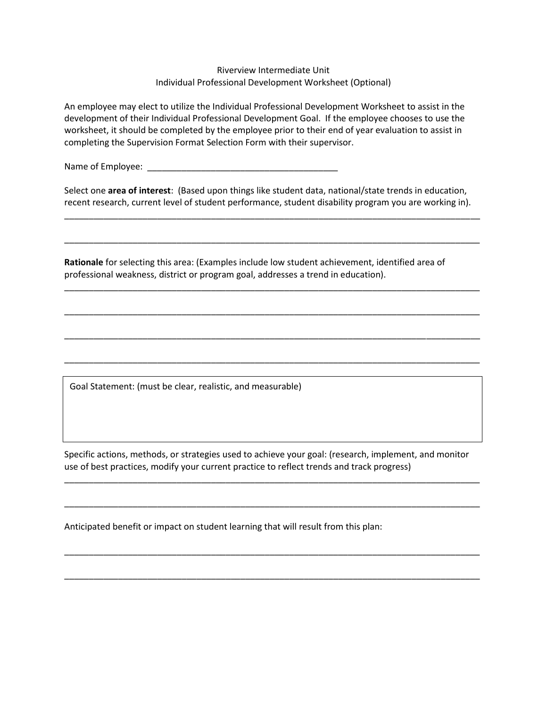#### Riverview Intermediate Unit Individual Professional Development Worksheet (Optional)

An employee may elect to utilize the Individual Professional Development Worksheet to assist in the development of their Individual Professional Development Goal. If the employee chooses to use the worksheet, it should be completed by the employee prior to their end of year evaluation to assist in completing the Supervision Format Selection Form with their supervisor.

Name of Employee:

Select one **area of interest**: (Based upon things like student data, national/state trends in education, recent research, current level of student performance, student disability program you are working in).

\_\_\_\_\_\_\_\_\_\_\_\_\_\_\_\_\_\_\_\_\_\_\_\_\_\_\_\_\_\_\_\_\_\_\_\_\_\_\_\_\_\_\_\_\_\_\_\_\_\_\_\_\_\_\_\_\_\_\_\_\_\_\_\_\_\_\_\_\_\_\_\_\_\_\_\_\_\_\_\_\_\_\_\_\_

\_\_\_\_\_\_\_\_\_\_\_\_\_\_\_\_\_\_\_\_\_\_\_\_\_\_\_\_\_\_\_\_\_\_\_\_\_\_\_\_\_\_\_\_\_\_\_\_\_\_\_\_\_\_\_\_\_\_\_\_\_\_\_\_\_\_\_\_\_\_\_\_\_\_\_\_\_\_\_\_\_\_\_\_\_

\_\_\_\_\_\_\_\_\_\_\_\_\_\_\_\_\_\_\_\_\_\_\_\_\_\_\_\_\_\_\_\_\_\_\_\_\_\_\_\_\_\_\_\_\_\_\_\_\_\_\_\_\_\_\_\_\_\_\_\_\_\_\_\_\_\_\_\_\_\_\_\_\_\_\_\_\_\_\_\_\_\_\_\_\_

\_\_\_\_\_\_\_\_\_\_\_\_\_\_\_\_\_\_\_\_\_\_\_\_\_\_\_\_\_\_\_\_\_\_\_\_\_\_\_\_\_\_\_\_\_\_\_\_\_\_\_\_\_\_\_\_\_\_\_\_\_\_\_\_\_\_\_\_\_\_\_\_\_\_\_\_\_\_\_\_\_\_\_\_\_

\_\_\_\_\_\_\_\_\_\_\_\_\_\_\_\_\_\_\_\_\_\_\_\_\_\_\_\_\_\_\_\_\_\_\_\_\_\_\_\_\_\_\_\_\_\_\_\_\_\_\_\_\_\_\_\_\_\_\_\_\_\_\_\_\_\_\_\_\_\_\_\_\_\_\_\_\_\_\_\_\_\_\_\_\_

\_\_\_\_\_\_\_\_\_\_\_\_\_\_\_\_\_\_\_\_\_\_\_\_\_\_\_\_\_\_\_\_\_\_\_\_\_\_\_\_\_\_\_\_\_\_\_\_\_\_\_\_\_\_\_\_\_\_\_\_\_\_\_\_\_\_\_\_\_\_\_\_\_\_\_\_\_\_\_\_\_\_\_\_\_

**Rationale** for selecting this area: (Examples include low student achievement, identified area of professional weakness, district or program goal, addresses a trend in education).

Goal Statement: (must be clear, realistic, and measurable)

Specific actions, methods, or strategies used to achieve your goal: (research, implement, and monitor use of best practices, modify your current practice to reflect trends and track progress)

\_\_\_\_\_\_\_\_\_\_\_\_\_\_\_\_\_\_\_\_\_\_\_\_\_\_\_\_\_\_\_\_\_\_\_\_\_\_\_\_\_\_\_\_\_\_\_\_\_\_\_\_\_\_\_\_\_\_\_\_\_\_\_\_\_\_\_\_\_\_\_\_\_\_\_\_\_\_\_\_\_\_\_\_\_

\_\_\_\_\_\_\_\_\_\_\_\_\_\_\_\_\_\_\_\_\_\_\_\_\_\_\_\_\_\_\_\_\_\_\_\_\_\_\_\_\_\_\_\_\_\_\_\_\_\_\_\_\_\_\_\_\_\_\_\_\_\_\_\_\_\_\_\_\_\_\_\_\_\_\_\_\_\_\_\_\_\_\_\_\_

\_\_\_\_\_\_\_\_\_\_\_\_\_\_\_\_\_\_\_\_\_\_\_\_\_\_\_\_\_\_\_\_\_\_\_\_\_\_\_\_\_\_\_\_\_\_\_\_\_\_\_\_\_\_\_\_\_\_\_\_\_\_\_\_\_\_\_\_\_\_\_\_\_\_\_\_\_\_\_\_\_\_\_\_\_

\_\_\_\_\_\_\_\_\_\_\_\_\_\_\_\_\_\_\_\_\_\_\_\_\_\_\_\_\_\_\_\_\_\_\_\_\_\_\_\_\_\_\_\_\_\_\_\_\_\_\_\_\_\_\_\_\_\_\_\_\_\_\_\_\_\_\_\_\_\_\_\_\_\_\_\_\_\_\_\_\_\_\_\_\_

Anticipated benefit or impact on student learning that will result from this plan: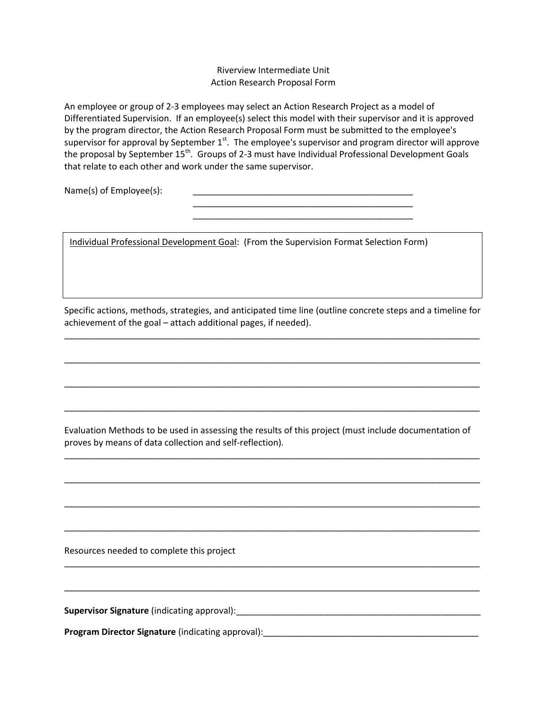#### Riverview Intermediate Unit Action Research Proposal Form

An employee or group of 2-3 employees may select an Action Research Project as a model of Differentiated Supervision. If an employee(s) select this model with their supervisor and it is approved by the program director, the Action Research Proposal Form must be submitted to the employee's supervisor for approval by September 1<sup>st</sup>. The employee's supervisor and program director will approve the proposal by September 15<sup>th</sup>. Groups of 2-3 must have Individual Professional Development Goals that relate to each other and work under the same supervisor.

> \_\_\_\_\_\_\_\_\_\_\_\_\_\_\_\_\_\_\_\_\_\_\_\_\_\_\_\_\_\_\_\_\_\_\_\_\_\_\_\_\_\_\_\_\_ \_\_\_\_\_\_\_\_\_\_\_\_\_\_\_\_\_\_\_\_\_\_\_\_\_\_\_\_\_\_\_\_\_\_\_\_\_\_\_\_\_\_\_\_\_

Name(s) of Employee(s):

Individual Professional Development Goal: (From the Supervision Format Selection Form)

Specific actions, methods, strategies, and anticipated time line (outline concrete steps and a timeline for achievement of the goal – attach additional pages, if needed).

\_\_\_\_\_\_\_\_\_\_\_\_\_\_\_\_\_\_\_\_\_\_\_\_\_\_\_\_\_\_\_\_\_\_\_\_\_\_\_\_\_\_\_\_\_\_\_\_\_\_\_\_\_\_\_\_\_\_\_\_\_\_\_\_\_\_\_\_\_\_\_\_\_\_\_\_\_\_\_\_\_\_\_\_\_

\_\_\_\_\_\_\_\_\_\_\_\_\_\_\_\_\_\_\_\_\_\_\_\_\_\_\_\_\_\_\_\_\_\_\_\_\_\_\_\_\_\_\_\_\_\_\_\_\_\_\_\_\_\_\_\_\_\_\_\_\_\_\_\_\_\_\_\_\_\_\_\_\_\_\_\_\_\_\_\_\_\_\_\_\_

\_\_\_\_\_\_\_\_\_\_\_\_\_\_\_\_\_\_\_\_\_\_\_\_\_\_\_\_\_\_\_\_\_\_\_\_\_\_\_\_\_\_\_\_\_\_\_\_\_\_\_\_\_\_\_\_\_\_\_\_\_\_\_\_\_\_\_\_\_\_\_\_\_\_\_\_\_\_\_\_\_\_\_\_\_

\_\_\_\_\_\_\_\_\_\_\_\_\_\_\_\_\_\_\_\_\_\_\_\_\_\_\_\_\_\_\_\_\_\_\_\_\_\_\_\_\_\_\_\_\_\_\_\_\_\_\_\_\_\_\_\_\_\_\_\_\_\_\_\_\_\_\_\_\_\_\_\_\_\_\_\_\_\_\_\_\_\_\_\_\_

Evaluation Methods to be used in assessing the results of this project (must include documentation of proves by means of data collection and self-reflection).

\_\_\_\_\_\_\_\_\_\_\_\_\_\_\_\_\_\_\_\_\_\_\_\_\_\_\_\_\_\_\_\_\_\_\_\_\_\_\_\_\_\_\_\_\_\_\_\_\_\_\_\_\_\_\_\_\_\_\_\_\_\_\_\_\_\_\_\_\_\_\_\_\_\_\_\_\_\_\_\_\_\_\_\_\_

\_\_\_\_\_\_\_\_\_\_\_\_\_\_\_\_\_\_\_\_\_\_\_\_\_\_\_\_\_\_\_\_\_\_\_\_\_\_\_\_\_\_\_\_\_\_\_\_\_\_\_\_\_\_\_\_\_\_\_\_\_\_\_\_\_\_\_\_\_\_\_\_\_\_\_\_\_\_\_\_\_\_\_\_\_

\_\_\_\_\_\_\_\_\_\_\_\_\_\_\_\_\_\_\_\_\_\_\_\_\_\_\_\_\_\_\_\_\_\_\_\_\_\_\_\_\_\_\_\_\_\_\_\_\_\_\_\_\_\_\_\_\_\_\_\_\_\_\_\_\_\_\_\_\_\_\_\_\_\_\_\_\_\_\_\_\_\_\_\_\_

\_\_\_\_\_\_\_\_\_\_\_\_\_\_\_\_\_\_\_\_\_\_\_\_\_\_\_\_\_\_\_\_\_\_\_\_\_\_\_\_\_\_\_\_\_\_\_\_\_\_\_\_\_\_\_\_\_\_\_\_\_\_\_\_\_\_\_\_\_\_\_\_\_\_\_\_\_\_\_\_\_\_\_\_\_

\_\_\_\_\_\_\_\_\_\_\_\_\_\_\_\_\_\_\_\_\_\_\_\_\_\_\_\_\_\_\_\_\_\_\_\_\_\_\_\_\_\_\_\_\_\_\_\_\_\_\_\_\_\_\_\_\_\_\_\_\_\_\_\_\_\_\_\_\_\_\_\_\_\_\_\_\_\_\_\_\_\_\_\_\_

\_\_\_\_\_\_\_\_\_\_\_\_\_\_\_\_\_\_\_\_\_\_\_\_\_\_\_\_\_\_\_\_\_\_\_\_\_\_\_\_\_\_\_\_\_\_\_\_\_\_\_\_\_\_\_\_\_\_\_\_\_\_\_\_\_\_\_\_\_\_\_\_\_\_\_\_\_\_\_\_\_\_\_\_\_

Resources needed to complete this project

**Supervisor Signature** (indicating approval):\_\_\_\_\_\_\_\_\_\_\_\_\_\_\_\_\_\_\_\_\_\_\_\_\_\_\_\_\_\_\_\_\_\_\_\_\_\_\_\_\_\_\_\_\_\_\_\_\_\_

**Program Director Signature** (indicating approval):\_\_\_\_\_\_\_\_\_\_\_\_\_\_\_\_\_\_\_\_\_\_\_\_\_\_\_\_\_\_\_\_\_\_\_\_\_\_\_\_\_\_\_\_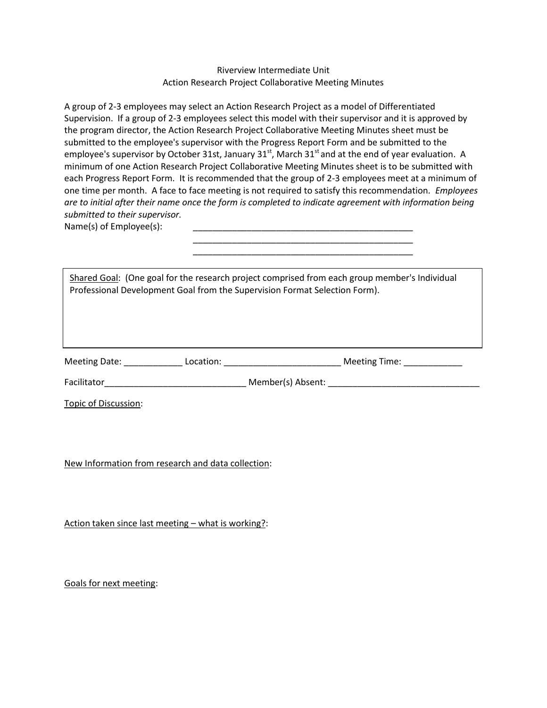Riverview Intermediate Unit Action Research Project Collaborative Meeting Minutes

A group of 2-3 employees may select an Action Research Project as a model of Differentiated Supervision. If a group of 2-3 employees select this model with their supervisor and it is approved by the program director, the Action Research Project Collaborative Meeting Minutes sheet must be submitted to the employee's supervisor with the Progress Report Form and be submitted to the employee's supervisor by October 31st, January 31st, March 31st and at the end of year evaluation. A minimum of one Action Research Project Collaborative Meeting Minutes sheet is to be submitted with each Progress Report Form. It is recommended that the group of 2-3 employees meet at a minimum of one time per month. A face to face meeting is not required to satisfy this recommendation*. Employees are to initial after their name once the form is completed to indicate agreement with information being submitted to their supervisor.*

> \_\_\_\_\_\_\_\_\_\_\_\_\_\_\_\_\_\_\_\_\_\_\_\_\_\_\_\_\_\_\_\_\_\_\_\_\_\_\_\_\_\_\_\_\_ \_\_\_\_\_\_\_\_\_\_\_\_\_\_\_\_\_\_\_\_\_\_\_\_\_\_\_\_\_\_\_\_\_\_\_\_\_\_\_\_\_\_\_\_\_

Name(s) of Employee(s):

Shared Goal: (One goal for the research project comprised from each group member's Individual Professional Development Goal from the Supervision Format Selection Form).

Meeting Date: \_\_\_\_\_\_\_\_\_\_\_\_ Location: \_\_\_\_\_\_\_\_\_\_\_\_\_\_\_\_\_\_\_\_\_\_\_\_ Meeting Time: \_\_\_\_\_\_\_\_\_\_\_\_

Facilitator\_\_\_\_\_\_\_\_\_\_\_\_\_\_\_\_\_\_\_\_\_\_\_\_\_\_\_\_\_ Member(s) Absent: \_\_\_\_\_\_\_\_\_\_\_\_\_\_\_\_\_\_\_\_\_\_\_\_\_\_\_\_\_\_\_

Topic of Discussion:

New Information from research and data collection:

Action taken since last meeting – what is working?:

Goals for next meeting: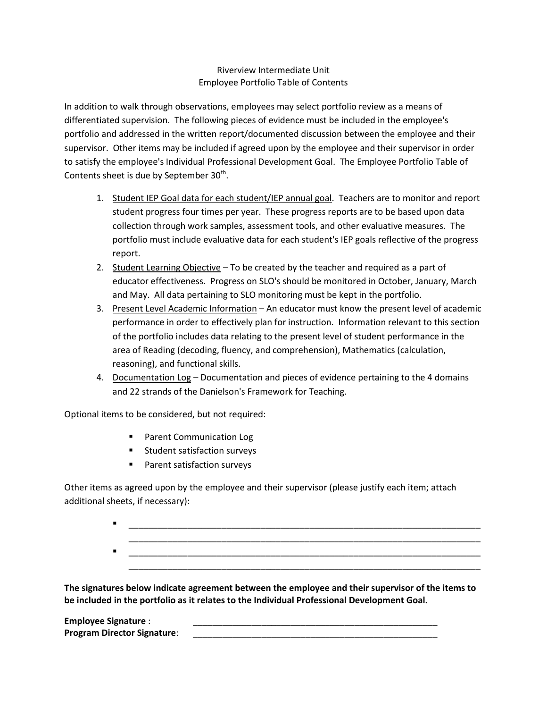# Riverview Intermediate Unit Employee Portfolio Table of Contents

In addition to walk through observations, employees may select portfolio review as a means of differentiated supervision. The following pieces of evidence must be included in the employee's portfolio and addressed in the written report/documented discussion between the employee and their supervisor. Other items may be included if agreed upon by the employee and their supervisor in order to satisfy the employee's Individual Professional Development Goal. The Employee Portfolio Table of Contents sheet is due by September  $30<sup>th</sup>$ .

- 1. Student IEP Goal data for each student/IEP annual goal. Teachers are to monitor and report student progress four times per year. These progress reports are to be based upon data collection through work samples, assessment tools, and other evaluative measures. The portfolio must include evaluative data for each student's IEP goals reflective of the progress report.
- 2. Student Learning Objective To be created by the teacher and required as a part of educator effectiveness. Progress on SLO's should be monitored in October, January, March and May. All data pertaining to SLO monitoring must be kept in the portfolio.
- 3. Present Level Academic Information An educator must know the present level of academic performance in order to effectively plan for instruction. Information relevant to this section of the portfolio includes data relating to the present level of student performance in the area of Reading (decoding, fluency, and comprehension), Mathematics (calculation, reasoning), and functional skills.
- 4. Documentation Log Documentation and pieces of evidence pertaining to the 4 domains and 22 strands of the Danielson's Framework for Teaching.

Optional items to be considered, but not required:

- **Parent Communication Log**
- **Student satisfaction surveys**
- Parent satisfaction surveys

Other items as agreed upon by the employee and their supervisor (please justify each item; attach additional sheets, if necessary):

> \_\_\_\_\_\_\_\_\_\_\_\_\_\_\_\_\_\_\_\_\_\_\_\_\_\_\_\_\_\_\_\_\_\_\_\_\_\_\_\_\_\_\_\_\_\_\_\_\_\_\_\_\_\_\_\_\_\_\_\_\_\_\_\_\_\_\_\_\_\_\_\_ \_\_\_\_\_\_\_\_\_\_\_\_\_\_\_\_\_\_\_\_\_\_\_\_\_\_\_\_\_\_\_\_\_\_\_\_\_\_\_\_\_\_\_\_\_\_\_\_\_\_\_\_\_\_\_\_\_\_\_\_\_\_\_\_\_\_\_\_\_\_\_\_ \_\_\_\_\_\_\_\_\_\_\_\_\_\_\_\_\_\_\_\_\_\_\_\_\_\_\_\_\_\_\_\_\_\_\_\_\_\_\_\_\_\_\_\_\_\_\_\_\_\_\_\_\_\_\_\_\_\_\_\_\_\_\_\_\_\_\_\_\_\_\_\_ \_\_\_\_\_\_\_\_\_\_\_\_\_\_\_\_\_\_\_\_\_\_\_\_\_\_\_\_\_\_\_\_\_\_\_\_\_\_\_\_\_\_\_\_\_\_\_\_\_\_\_\_\_\_\_\_\_\_\_\_\_\_\_\_\_\_\_\_\_\_\_\_

**The signatures below indicate agreement between the employee and their supervisor of the items to be included in the portfolio as it relates to the Individual Professional Development Goal.** 

| <b>Employee Signature:</b>         |  |
|------------------------------------|--|
| <b>Program Director Signature:</b> |  |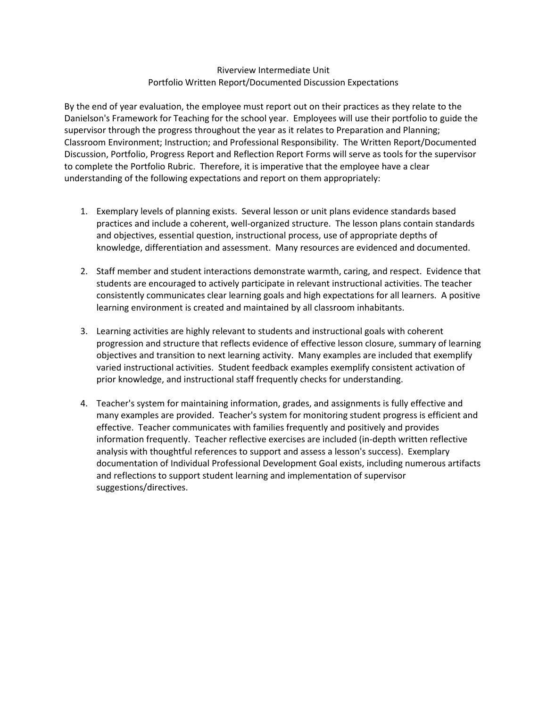### Riverview Intermediate Unit Portfolio Written Report/Documented Discussion Expectations

By the end of year evaluation, the employee must report out on their practices as they relate to the Danielson's Framework for Teaching for the school year. Employees will use their portfolio to guide the supervisor through the progress throughout the year as it relates to Preparation and Planning; Classroom Environment; Instruction; and Professional Responsibility. The Written Report/Documented Discussion, Portfolio, Progress Report and Reflection Report Forms will serve as tools for the supervisor to complete the Portfolio Rubric. Therefore, it is imperative that the employee have a clear understanding of the following expectations and report on them appropriately:

- 1. Exemplary levels of planning exists. Several lesson or unit plans evidence standards based practices and include a coherent, well-organized structure. The lesson plans contain standards and objectives, essential question, instructional process, use of appropriate depths of knowledge, differentiation and assessment. Many resources are evidenced and documented.
- 2. Staff member and student interactions demonstrate warmth, caring, and respect. Evidence that students are encouraged to actively participate in relevant instructional activities. The teacher consistently communicates clear learning goals and high expectations for all learners. A positive learning environment is created and maintained by all classroom inhabitants.
- 3. Learning activities are highly relevant to students and instructional goals with coherent progression and structure that reflects evidence of effective lesson closure, summary of learning objectives and transition to next learning activity. Many examples are included that exemplify varied instructional activities. Student feedback examples exemplify consistent activation of prior knowledge, and instructional staff frequently checks for understanding.
- 4. Teacher's system for maintaining information, grades, and assignments is fully effective and many examples are provided. Teacher's system for monitoring student progress is efficient and effective. Teacher communicates with families frequently and positively and provides information frequently. Teacher reflective exercises are included (in-depth written reflective analysis with thoughtful references to support and assess a lesson's success). Exemplary documentation of Individual Professional Development Goal exists, including numerous artifacts and reflections to support student learning and implementation of supervisor suggestions/directives.